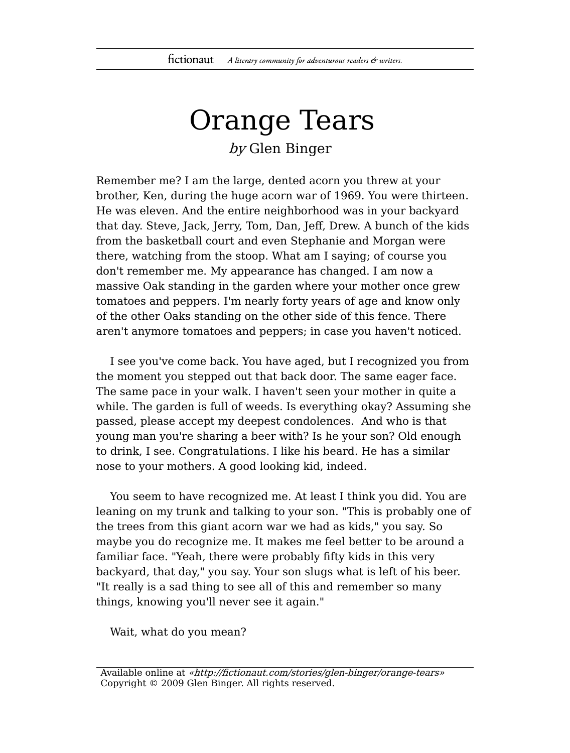## Orange Tears by Glen Binger

Remember me? I am the large, dented acorn you threw at your brother, Ken, during the huge acorn war of 1969. You were thirteen. He was eleven. And the entire neighborhood was in your backyard that day. Steve, Jack, Jerry, Tom, Dan, Jeff, Drew. A bunch of the kids from the basketball court and even Stephanie and Morgan were there, watching from the stoop. What am I saying; of course you don't remember me. My appearance has changed. I am now a massive Oak standing in the garden where your mother once grew tomatoes and peppers. I'm nearly forty years of age and know only of the other Oaks standing on the other side of this fence. There aren't anymore tomatoes and peppers; in case you haven't noticed.

I see you've come back. You have aged, but I recognized you from the moment you stepped out that back door. The same eager face. The same pace in your walk. I haven't seen your mother in quite a while. The garden is full of weeds. Is everything okay? Assuming she passed, please accept my deepest condolences. And who is that young man you're sharing a beer with? Is he your son? Old enough to drink, I see. Congratulations. I like his beard. He has a similar nose to your mothers. A good looking kid, indeed.

You seem to have recognized me. At least I think you did. You are leaning on my trunk and talking to your son. "This is probably one of the trees from this giant acorn war we had as kids," you say. So maybe you do recognize me. It makes me feel better to be around a familiar face. "Yeah, there were probably fifty kids in this very backyard, that day," you say. Your son slugs what is left of his beer. "It really is a sad thing to see all of this and remember so many things, knowing you'll never see it again."

Wait, what do you mean?

Available online at «http://fictionaut.com/stories/glen-binger/orange-tears» Copyright © 2009 Glen Binger. All rights reserved.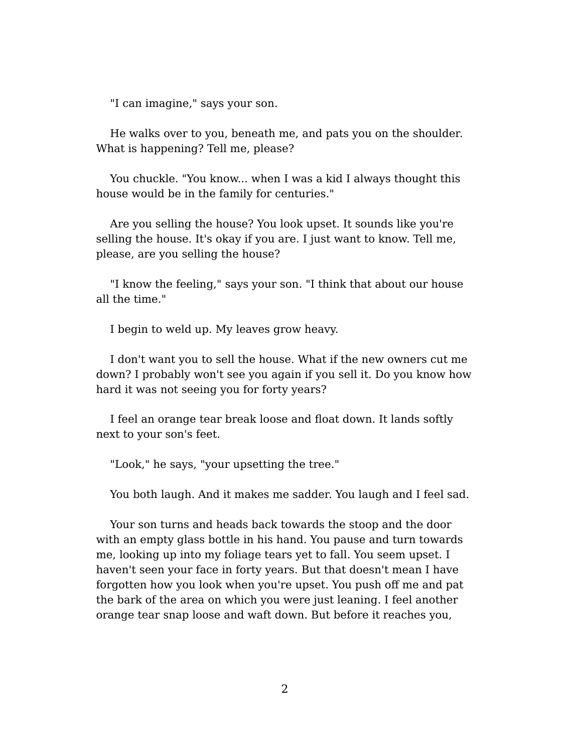"I can imagine," says your son.

He walks over to you, beneath me, and pats you on the shoulder. What is happening? Tell me, please?

You chuckle. "You know... when I was a kid I always thought this house would be in the family for centuries."

Are you selling the house? You look upset. It sounds like you're selling the house. It's okay if you are. I just want to know. Tell me, please, are you selling the house?

"I know the feeling," says your son. "I think that about our house all the time."

I begin to weld up. My leaves grow heavy.

I don't want you to sell the house. What if the new owners cut me down? I probably won't see you again if you sell it. Do you know how hard it was not seeing you for forty years?

I feel an orange tear break loose and float down. It lands softly next to your son's feet.

"Look," he says, "your upsetting the tree."

You both laugh. And it makes me sadder. You laugh and I feel sad.

Your son turns and heads back towards the stoop and the door with an empty glass bottle in his hand. You pause and turn towards me, looking up into my foliage tears yet to fall. You seem upset. I haven't seen your face in forty years. But that doesn't mean I have forgotten how you look when you're upset. You push off me and pat the bark of the area on which you were just leaning. I feel another orange tear snap loose and waft down. But before it reaches you,